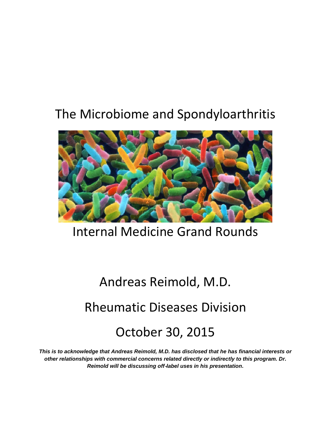# The Microbiome and Spondyloarthritis



# Internal Medicine Grand Rounds

# Andreas Reimold, M.D. Rheumatic Diseases Division October 30, 2015

*This is to acknowledge that Andreas Reimold, M.D. has disclosed that he has financial interests or other relationships with commercial concerns related directly or indirectly to this program. Dr. Reimold will be discussing off*‐*label uses in his presentation***.**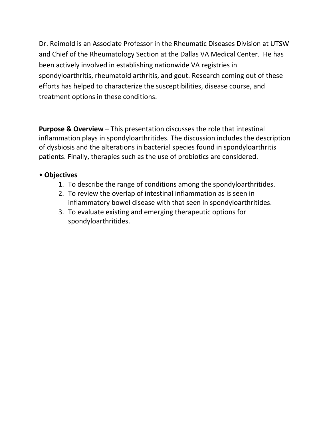Dr. Reimold is an Associate Professor in the Rheumatic Diseases Division at UTSW and Chief of the Rheumatology Section at the Dallas VA Medical Center. He has been actively involved in establishing nationwide VA registries in spondyloarthritis, rheumatoid arthritis, and gout. Research coming out of these efforts has helped to characterize the susceptibilities, disease course, and treatment options in these conditions.

**Purpose & Overview** – This presentation discusses the role that intestinal inflammation plays in spondyloarthritides. The discussion includes the description of dysbiosis and the alterations in bacterial species found in spondyloarthritis patients. Finally, therapies such as the use of probiotics are considered.

# • **Objectives**

- 1. To describe the range of conditions among the spondyloarthritides.
- 2. To review the overlap of intestinal inflammation as is seen in inflammatory bowel disease with that seen in spondyloarthritides.
- 3. To evaluate existing and emerging therapeutic options for spondyloarthritides.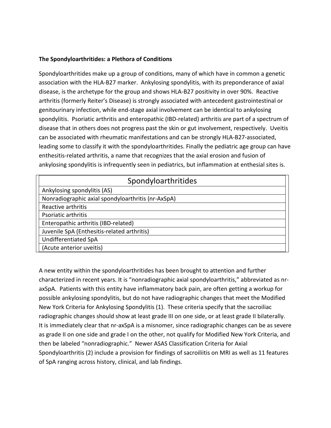#### **The Spondyloarthritides: a Plethora of Conditions**

Spondyloarthritides make up a group of conditions, many of which have in common a genetic association with the HLA-B27 marker. Ankylosing spondylitis, with its preponderance of axial disease, is the archetype for the group and shows HLA-B27 positivity in over 90%. Reactive arthritis (formerly Reiter's Disease) is strongly associated with antecedent gastrointestinal or genitourinary infection, while end-stage axial involvement can be identical to ankylosing spondylitis. Psoriatic arthritis and enteropathic (IBD-related) arthritis are part of a spectrum of disease that in others does not progress past the skin or gut involvement, respectively. Uveitis can be associated with rheumatic manifestations and can be strongly HLA-B27-associated, leading some to classify it with the spondyloarthritides. Finally the pediatric age group can have enthesitis-related arthritis, a name that recognizes that the axial erosion and fusion of ankylosing spondylitis is infrequently seen in pediatrics, but inflammation at enthesial sites is.

| Spondyloarthritides                                |
|----------------------------------------------------|
| Ankylosing spondylitis (AS)                        |
| Nonradiographic axial spondyloarthritis (nr-AxSpA) |
| Reactive arthritis                                 |
| Psoriatic arthritis                                |
| Enteropathic arthritis (IBD-related)               |
| Juvenile SpA (Enthesitis-related arthritis)        |
| Undifferentiated SpA                               |
| (Acute anterior uveitis)                           |

A new entity within the spondyloarthritides has been brought to attention and further characterized in recent years. It is "nonradiographic axial spondyloarthritis," abbreviated as nraxSpA. Patients with this entity have inflammatory back pain, are often getting a workup for possible ankylosing spondylitis, but do not have radiographic changes that meet the Modified New York Criteria for Ankylosing Spondylitis (1). These criteria specify that the sacroiliac radiographic changes should show at least grade III on one side, or at least grade II bilaterally. It is immediately clear that nr-axSpA is a misnomer, since radiographic changes can be as severe as grade II on one side and grade I on the other, not qualify for Modified New York Criteria, and then be labeled "nonradiographic." Newer ASAS Classification Criteria for Axial Spondyloarthritis (2) include a provision for findings of sacroiliitis on MRI as well as 11 features of SpA ranging across history, clinical, and lab findings.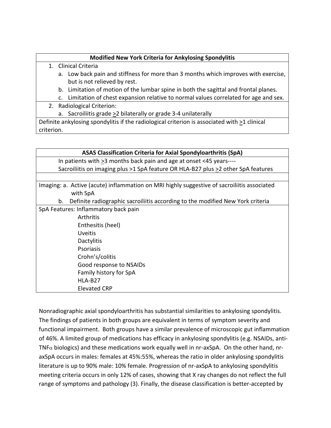# **Modified New York Criteria for Ankylosing Spondylitis**

- 1. Clinical Criteria
	- a. Low back pain and stiffness for more than 3 months which improves with exercise, but is not relieved by rest.
	- b. Limitation of motion of the lumbar spine in both the sagittal and frontal planes.
	- c. Limitation of chest expansion relative to normal values correlated for age and sex.
- 2. Radiological Criterion:
	- a. Sacroiliitis grade >2 bilaterally or grade 3-4 unilaterally

Definite ankylosing spondylitis if the radiological criterion is associated with >1 clinical criterion.

| <b>ASAS Classification Criteria for Axial Spondyloarthritis (SpA)</b>                       |  |  |  |  |
|---------------------------------------------------------------------------------------------|--|--|--|--|
| In patients with >3 months back pain and age at onset <45 years----                         |  |  |  |  |
| Sacroiliitis on imaging plus >1 SpA feature OR HLA-B27 plus >2 other SpA features           |  |  |  |  |
|                                                                                             |  |  |  |  |
| Imaging: a. Active (acute) inflammation on MRI highly suggestive of sacroiliitis associated |  |  |  |  |
| with SpA                                                                                    |  |  |  |  |
| Definite radiographic sacroiliitis according to the modified New York criteria<br>b.        |  |  |  |  |
| SpA Features: Inflammatory back pain                                                        |  |  |  |  |
| Arthritis                                                                                   |  |  |  |  |
| Enthesitis (heel)                                                                           |  |  |  |  |
| <b>Uveitis</b>                                                                              |  |  |  |  |
| Dactylitis                                                                                  |  |  |  |  |
| Psoriasis                                                                                   |  |  |  |  |
| Crohn's/colitis                                                                             |  |  |  |  |
| Good response to NSAIDs                                                                     |  |  |  |  |
| Family history for SpA                                                                      |  |  |  |  |
| HLA-B <sub>27</sub>                                                                         |  |  |  |  |
| <b>Elevated CRP</b>                                                                         |  |  |  |  |
|                                                                                             |  |  |  |  |

Nonradiographic axial spondyloarthritis has substantial similarities to ankylosing spondylitis. The findings of patients in both groups are equivalent in terms of symptom severity and functional impairment. Both groups have a similar prevalence of microscopic gut inflammation of 46%. A limited group of medications has efficacy in ankylosing spondylitis (e.g. NSAIDs, anti-TNF $\alpha$  biologics) and these medications work equally well in nr-axSpA. On the other hand, nraxSpA occurs in males: females at 45%:55%, whereas the ratio in older ankylosing spondylitis literature is up to 90% male: 10% female. Progression of nr-axSpA to ankylosing spondylitis meeting criteria occurs in only 12% of cases, showing that X ray changes do not reflect the full range of symptoms and pathology (3). Finally, the disease classification is better-accepted by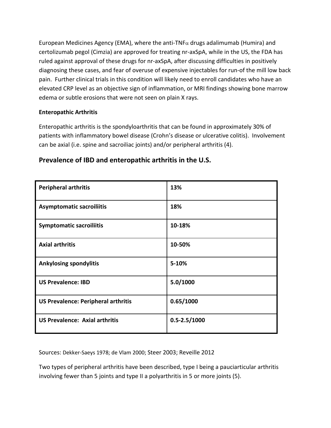European Medicines Agency (EMA), where the anti-TNF $\alpha$  drugs adalimumab (Humira) and certolizumab pegol (Cimzia) are approved for treating nr-axSpA, while in the US, the FDA has ruled against approval of these drugs for nr-axSpA, after discussing difficulties in positively diagnosing these cases, and fear of overuse of expensive injectables for run-of the mill low back pain. Further clinical trials in this condition will likely need to enroll candidates who have an elevated CRP level as an objective sign of inflammation, or MRI findings showing bone marrow edema or subtle erosions that were not seen on plain X rays.

# **Enteropathic Arthritis**

Enteropathic arthritis is the spondyloarthritis that can be found in approximately 30% of patients with inflammatory bowel disease (Crohn's disease or ulcerative colitis). Involvement can be axial (i.e. spine and sacroiliac joints) and/or peripheral arthritis (4).

| <b>Peripheral arthritis</b>                | 13%                |
|--------------------------------------------|--------------------|
| <b>Asymptomatic sacroiliitis</b>           | 18%                |
| <b>Symptomatic sacroiliitis</b>            | 10-18%             |
| <b>Axial arthritis</b>                     | 10-50%             |
| <b>Ankylosing spondylitis</b>              | 5-10%              |
| <b>US Prevalence: IBD</b>                  | 5.0/1000           |
| <b>US Prevalence: Peripheral arthritis</b> | 0.65/1000          |
| <b>US Prevalence: Axial arthritis</b>      | $0.5 - 2.5 / 1000$ |

# **Prevalence of IBD and enteropathic arthritis in the U.S.**

Sources: Dekker-Saeys 1978; de Vlam 2000; Steer 2003; Reveille 2012

Two types of peripheral arthritis have been described, type I being a pauciarticular arthritis involving fewer than 5 joints and type II a polyarthritis in 5 or more joints (5).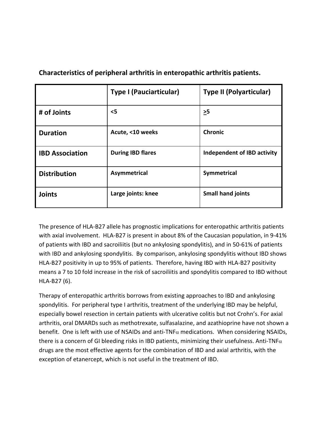|                        | <b>Type I (Pauciarticular)</b> | <b>Type II (Polyarticular)</b> |
|------------------------|--------------------------------|--------------------------------|
| # of Joints            | $\leq$ 5                       | $\geq 5$                       |
| <b>Duration</b>        | Acute, <10 weeks               | <b>Chronic</b>                 |
| <b>IBD Association</b> | <b>During IBD flares</b>       | Independent of IBD activity    |
| <b>Distribution</b>    | Asymmetrical                   | Symmetrical                    |
| <b>Joints</b>          | Large joints: knee             | <b>Small hand joints</b>       |

**Characteristics of peripheral arthritis in enteropathic arthritis patients.**

The presence of HLA-B27 allele has prognostic implications for enteropathic arthritis patients with axial involvement. HLA-B27 is present in about 8% of the Caucasian population, in 9-41% of patients with IBD and sacroiliitis (but no ankylosing spondylitis), and in 50-61% of patients with IBD and ankylosing spondylitis. By comparison, ankylosing spondylitis without IBD shows HLA-B27 positivity in up to 95% of patients. Therefore, having IBD with HLA-B27 positivity means a 7 to 10 fold increase in the risk of sacroiliitis and spondylitis compared to IBD without HLA-B27 (6).

Therapy of enteropathic arthritis borrows from existing approaches to IBD and ankylosing spondylitis. For peripheral type I arthritis, treatment of the underlying IBD may be helpful, especially bowel resection in certain patients with ulcerative colitis but not Crohn's. For axial arthritis, oral DMARDs such as methotrexate, sulfasalazine, and azathioprine have not shown a benefit. One is left with use of NSAIDs and anti-TNF $\alpha$  medications. When considering NSAIDs, there is a concern of GI bleeding risks in IBD patients, minimizing their usefulness. Anti-TNF $\alpha$ drugs are the most effective agents for the combination of IBD and axial arthritis, with the exception of etanercept, which is not useful in the treatment of IBD.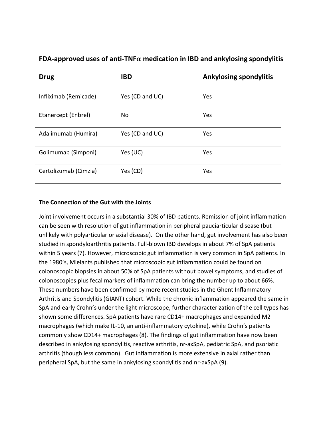| <b>Drug</b>           | <b>IBD</b>      | <b>Ankylosing spondylitis</b> |
|-----------------------|-----------------|-------------------------------|
| Infliximab (Remicade) | Yes (CD and UC) | Yes                           |
| Etanercept (Enbrel)   | No              | Yes                           |
| Adalimumab (Humira)   | Yes (CD and UC) | Yes                           |
| Golimumab (Simponi)   | Yes (UC)        | Yes                           |
| Certolizumab (Cimzia) | Yes (CD)        | Yes                           |

# **FDA-approved uses of anti-TNF**α **medication in IBD and ankylosing spondylitis**

# **The Connection of the Gut with the Joints**

Joint involvement occurs in a substantial 30% of IBD patients. Remission of joint inflammation can be seen with resolution of gut inflammation in peripheral pauciarticular disease (but unlikely with polyarticular or axial disease). On the other hand, gut involvement has also been studied in spondyloarthritis patients. Full-blown IBD develops in about 7% of SpA patients within 5 years (7). However, microscopic gut inflammation is very common in SpA patients. In the 1980's, Mielants published that microscopic gut inflammation could be found on colonoscopic biopsies in about 50% of SpA patients without bowel symptoms, and studies of colonoscopies plus fecal markers of inflammation can bring the number up to about 66%. These numbers have been confirmed by more recent studies in the Ghent Inflammatory Arthritis and Spondylitis (GIANT) cohort. While the chronic inflammation appeared the same in SpA and early Crohn's under the light microscope, further characterization of the cell types has shown some differences. SpA patients have rare CD14+ macrophages and expanded M2 macrophages (which make IL-10, an anti-inflammatory cytokine), while Crohn's patients commonly show CD14+ macrophages (8). The findings of gut inflammation have now been described in ankylosing spondylitis, reactive arthritis, nr-axSpA, pediatric SpA, and psoriatic arthritis (though less common). Gut inflammation is more extensive in axial rather than peripheral SpA, but the same in ankylosing spondylitis and nr-axSpA (9).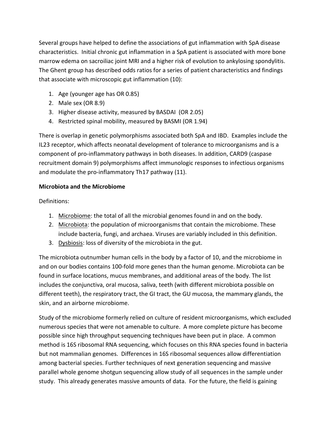Several groups have helped to define the associations of gut inflammation with SpA disease characteristics. Initial chronic gut inflammation in a SpA patient is associated with more bone marrow edema on sacroiliac joint MRI and a higher risk of evolution to ankylosing spondylitis. The Ghent group has described odds ratios for a series of patient characteristics and findings that associate with microscopic gut inflammation (10):

- 1. Age (younger age has OR 0.85)
- 2. Male sex (OR 8.9)
- 3. Higher disease activity, measured by BASDAI (OR 2.05)
- 4. Restricted spinal mobility, measured by BASMI (OR 1.94)

There is overlap in genetic polymorphisms associated both SpA and IBD. Examples include the IL23 receptor, which affects neonatal development of tolerance to microorganisms and is a component of pro-inflammatory pathways in both diseases. In addition, CARD9 (caspase recruitment domain 9) polymorphisms affect immunologic responses to infectious organisms and modulate the pro-inflammatory Th17 pathway (11).

# **Microbiota and the Microbiome**

Definitions:

- 1. Microbiome: the total of all the microbial genomes found in and on the body.
- 2. Microbiota: the population of microorganisms that contain the microbiome. These include bacteria, fungi, and archaea. Viruses are variably included in this definition.
- 3. Dysbiosis: loss of diversity of the microbiota in the gut.

The microbiota outnumber human cells in the body by a factor of 10, and the microbiome in and on our bodies contains 100-fold more genes than the human genome. Microbiota can be found in surface locations, mucus membranes, and additional areas of the body. The list includes the conjunctiva, oral mucosa, saliva, teeth (with different microbiota possible on different teeth), the respiratory tract, the GI tract, the GU mucosa, the mammary glands, the skin, and an airborne microbiome.

Study of the microbiome formerly relied on culture of resident microorganisms, which excluded numerous species that were not amenable to culture. A more complete picture has become possible since high throughput sequencing techniques have been put in place. A common method is 16S ribosomal RNA sequencing, which focuses on this RNA species found in bacteria but not mammalian genomes. Differences in 16S ribosomal sequences allow differentiation among bacterial species. Further techniques of next generation sequencing and massive parallel whole genome shotgun sequencing allow study of all sequences in the sample under study. This already generates massive amounts of data. For the future, the field is gaining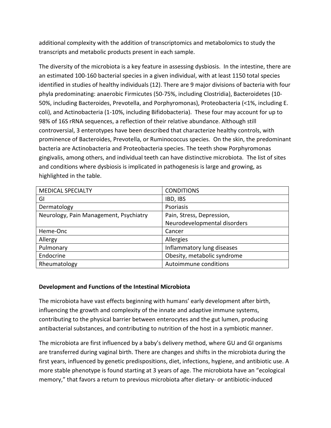additional complexity with the addition of transcriptomics and metabolomics to study the transcripts and metabolic products present in each sample.

The diversity of the microbiota is a key feature in assessing dysbiosis. In the intestine, there are an estimated 100-160 bacterial species in a given individual, with at least 1150 total species identified in studies of healthy individuals (12). There are 9 major divisions of bacteria with four phyla predominating: anaerobic Firmicutes (50-75%, including Clostridia), Bacteroidetes (10- 50%, including Bacteroides, Prevotella, and Porphyromonas), Proteobacteria (<1%, including E. coli), and Actinobacteria (1-10%, including Bifidobacteria). These four may account for up to 98% of 16S rRNA sequences, a reflection of their relative abundance. Although still controversial, 3 enterotypes have been described that characterize healthy controls, with prominence of Bacteroides, Prevotella, or Ruminococcus species. On the skin, the predominant bacteria are Actinobacteria and Proteobacteria species. The teeth show Porphyromonas gingivalis, among others, and individual teeth can have distinctive microbiota. The list of sites and conditions where dysbiosis is implicated in pathogenesis is large and growing, as highlighted in the table.

| <b>MEDICAL SPECIALTY</b>               | <b>CONDITIONS</b>            |
|----------------------------------------|------------------------------|
| GI                                     | IBD, IBS                     |
| Dermatology                            | <b>Psoriasis</b>             |
| Neurology, Pain Management, Psychiatry | Pain, Stress, Depression,    |
|                                        | Neurodevelopmental disorders |
| Heme-Onc                               | Cancer                       |
| Allergy                                | Allergies                    |
| Pulmonary                              | Inflammatory lung diseases   |
| Endocrine                              | Obesity, metabolic syndrome  |
| Rheumatology                           | Autoimmune conditions        |

# **Development and Functions of the Intestinal Microbiota**

The microbiota have vast effects beginning with humans' early development after birth, influencing the growth and complexity of the innate and adaptive immune systems, contributing to the physical barrier between enterocytes and the gut lumen, producing antibacterial substances, and contributing to nutrition of the host in a symbiotic manner.

The microbiota are first influenced by a baby's delivery method, where GU and GI organisms are transferred during vaginal birth. There are changes and shifts in the microbiota during the first years, influenced by genetic predispositions, diet, infections, hygiene, and antibiotic use. A more stable phenotype is found starting at 3 years of age. The microbiota have an "ecological memory," that favors a return to previous microbiota after dietary- or antibiotic-induced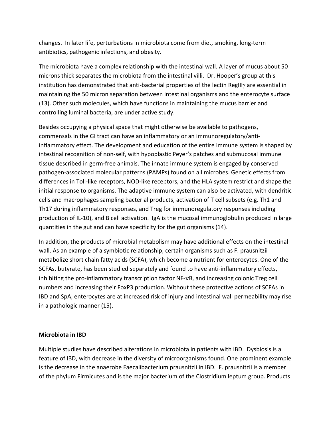changes. In later life, perturbations in microbiota come from diet, smoking, long-term antibiotics, pathogenic infections, and obesity.

The microbiota have a complex relationship with the intestinal wall. A layer of mucus about 50 microns thick separates the microbiota from the intestinal villi. Dr. Hooper's group at this institution has demonstrated that anti-bacterial properties of the lectin RegIIIγ are essential in maintaining the 50 micron separation between intestinal organisms and the enterocyte surface (13). Other such molecules, which have functions in maintaining the mucus barrier and controlling luminal bacteria, are under active study.

Besides occupying a physical space that might otherwise be available to pathogens, commensals in the GI tract can have an inflammatory or an immunoregulatory/antiinflammatory effect. The development and education of the entire immune system is shaped by intestinal recognition of non-self, with hypoplastic Peyer's patches and submucosal immune tissue described in germ-free animals. The innate immune system is engaged by conserved pathogen-associated molecular patterns (PAMPs) found on all microbes. Genetic effects from differences in Toll-like receptors, NOD-like receptors, and the HLA system restrict and shape the initial response to organisms. The adaptive immune system can also be activated, with dendritic cells and macrophages sampling bacterial products, activation of T cell subsets (e.g. Th1 and Th17 during inflammatory responses, and Treg for immunoregulatory responses including production of IL-10), and B cell activation. IgA is the mucosal immunoglobulin produced in large quantities in the gut and can have specificity for the gut organisms (14).

In addition, the products of microbial metabolism may have additional effects on the intestinal wall. As an example of a symbiotic relationship, certain organisms such as F. prausnitzii metabolize short chain fatty acids (SCFA), which become a nutrient for enterocytes. One of the SCFAs, butyrate, has been studied separately and found to have anti-inflammatory effects, inhibiting the pro-inflammatory transcription factor NF-κB, and increasing colonic Treg cell numbers and increasing their FoxP3 production. Without these protective actions of SCFAs in IBD and SpA, enterocytes are at increased risk of injury and intestinal wall permeability may rise in a pathologic manner (15).

#### **Microbiota in IBD**

Multiple studies have described alterations in microbiota in patients with IBD. Dysbiosis is a feature of IBD, with decrease in the diversity of microorganisms found. One prominent example is the decrease in the anaerobe Faecalibacterium prausnitzii in IBD. F. prausnitzii is a member of the phylum Firmicutes and is the major bacterium of the Clostridium leptum group. Products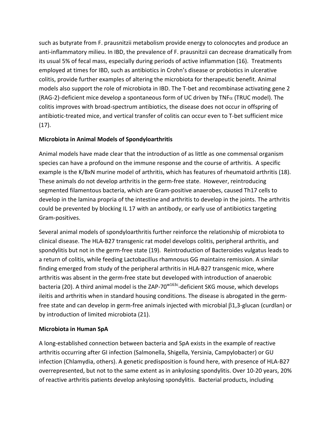such as butyrate from F. prausnitzii metabolism provide energy to colonocytes and produce an anti-inflammatory milieu. In IBD, the prevalence of F. prausnitzii can decrease dramatically from its usual 5% of fecal mass, especially during periods of active inflammation (16). Treatments employed at times for IBD, such as antibiotics in Crohn's disease or probiotics in ulcerative colitis, provide further examples of altering the microbiota for therapeutic benefit. Animal models also support the role of microbiota in IBD. The T-bet and recombinase activating gene 2 (RAG-2)-deficient mice develop a spontaneous form of UC driven by TNF $\alpha$  (TRUC model). The colitis improves with broad-spectrum antibiotics, the disease does not occur in offspring of antibiotic-treated mice, and vertical transfer of colitis can occur even to T-bet sufficient mice (17).

# **Microbiota in Animal Models of Spondyloarthritis**

Animal models have made clear that the introduction of as little as one commensal organism species can have a profound on the immune response and the course of arthritis. A specific example is the K/BxN murine model of arthritis, which has features of rheumatoid arthritis (18). These animals do not develop arthritis in the germ-free state. However, reintroducing segmented filamentous bacteria, which are Gram-positive anaerobes, caused Th17 cells to develop in the lamina propria of the intestine and arthritis to develop in the joints. The arthritis could be prevented by blocking IL 17 with an antibody, or early use of antibiotics targeting Gram-positives.

Several animal models of spondyloarthritis further reinforce the relationship of microbiota to clinical disease. The HLA-B27 transgenic rat model develops colitis, peripheral arthritis, and spondylitis but not in the germ-free state (19). Reintroduction of Bacteroides vulgatus leads to a return of colitis, while feeding Lactobacillus rhamnosus GG maintains remission. A similar finding emerged from study of the peripheral arthritis in HLA-B27 transgenic mice, where arthritis was absent in the germ-free state but developed with introduction of anaerobic bacteria (20). A third animal model is the ZAP-70<sup>w163c</sup>-deficient SKG mouse, which develops ileitis and arthritis when in standard housing conditions. The disease is abrogated in the germfree state and can develop in germ-free animals injected with microbial β1,3-glucan (curdlan) or by introduction of limited microbiota (21).

# **Microbiota in Human SpA**

A long-established connection between bacteria and SpA exists in the example of reactive arthritis occurring after GI infection (Salmonella, Shigella, Yersinia, Campylobacter) or GU infection (Chlamydia, others). A genetic predisposition is found here, with presence of HLA-B27 overrepresented, but not to the same extent as in ankylosing spondylitis. Over 10-20 years, 20% of reactive arthritis patients develop ankylosing spondylitis. Bacterial products, including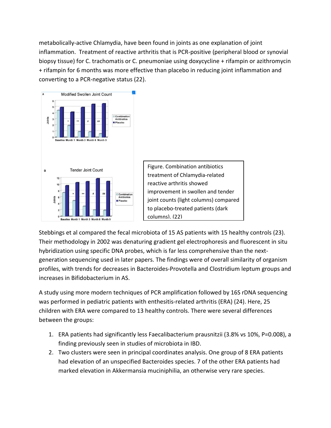metabolically-active Chlamydia, have been found in joints as one explanation of joint inflammation. Treatment of reactive arthritis that is PCR-positive (peripheral blood or synovial biopsy tissue) for C. trachomatis or C. pneumoniae using doxycycline + rifampin or azithromycin + rifampin for 6 months was more effective than placebo in reducing joint inflammation and converting to a PCR-negative status (22).



Stebbings et al compared the fecal microbiota of 15 AS patients with 15 healthy controls (23). Their methodology in 2002 was denaturing gradient gel electrophoresis and fluorescent in situ hybridization using specific DNA probes, which is far less comprehensive than the nextgeneration sequencing used in later papers. The findings were of overall similarity of organism profiles, with trends for decreases in Bacteroides-Provotella and Clostridium leptum groups and increases in Bifidobacterium in AS.

A study using more modern techniques of PCR amplification followed by 16S rDNA sequencing was performed in pediatric patients with enthesitis-related arthritis (ERA) (24). Here, 25 children with ERA were compared to 13 healthy controls. There were several differences between the groups:

- 1. ERA patients had significantly less Faecalibacterium prausnitzii (3.8% vs 10%, P=0.008), a finding previously seen in studies of microbiota in IBD.
- 2. Two clusters were seen in principal coordinates analysis. One group of 8 ERA patients had elevation of an unspecified Bacteroides species. 7 of the other ERA patients had marked elevation in Akkermansia muciniphilia, an otherwise very rare species.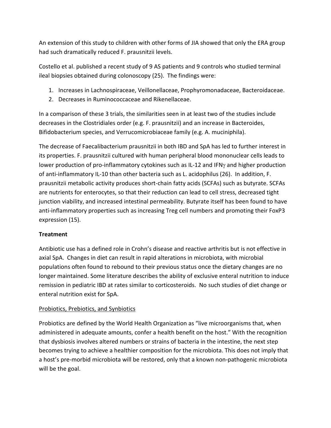An extension of this study to children with other forms of JIA showed that only the ERA group had such dramatically reduced F. prausnitzii levels.

Costello et al. published a recent study of 9 AS patients and 9 controls who studied terminal ileal biopsies obtained during colonoscopy (25). The findings were:

- 1. Increases in Lachnospiraceae, Veillonellaceae, Prophyromonadaceae, Bacteroidaceae.
- 2. Decreases in Ruminococcaceae and Rikenellaceae.

In a comparison of these 3 trials, the similarities seen in at least two of the studies include decreases in the Clostridiales order (e.g. F. prausnitzii) and an increase in Bacteroides, Bifidobacterium species, and Verrucomicrobiaceae family (e.g. A. muciniphila).

The decrease of Faecalibacterium prausnitzii in both IBD and SpA has led to further interest in its properties. F. prausnitzii cultured with human peripheral blood mononuclear cells leads to lower production of pro-inflammatory cytokines such as IL-12 and IFNγ and higher production of anti-inflammatory IL-10 than other bacteria such as L. acidophilus (26). In addition, F. prausnitzii metabolic activity produces short-chain fatty acids (SCFAs) such as butyrate. SCFAs are nutrients for enterocytes, so that their reduction can lead to cell stress, decreased tight junction viability, and increased intestinal permeability. Butyrate itself has been found to have anti-inflammatory properties such as increasing Treg cell numbers and promoting their FoxP3 expression (15).

# **Treatment**

Antibiotic use has a defined role in Crohn's disease and reactive arthritis but is not effective in axial SpA. Changes in diet can result in rapid alterations in microbiota, with microbial populations often found to rebound to their previous status once the dietary changes are no longer maintained. Some literature describes the ability of exclusive enteral nutrition to induce remission in pediatric IBD at rates similar to corticosteroids. No such studies of diet change or enteral nutrition exist for SpA.

# Probiotics, Prebiotics, and Synbiotics

Probiotics are defined by the World Health Organization as "live microorganisms that, when administered in adequate amounts, confer a health benefit on the host." With the recognition that dysbiosis involves altered numbers or strains of bacteria in the intestine, the next step becomes trying to achieve a healthier composition for the microbiota. This does not imply that a host's pre-morbid microbiota will be restored, only that a known non-pathogenic microbiota will be the goal.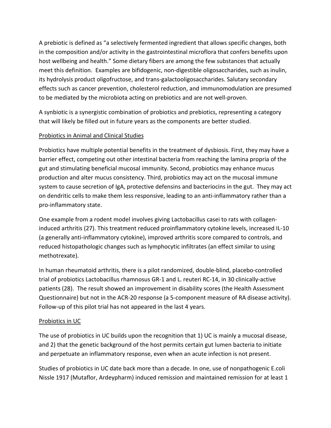A prebiotic is defined as "a selectively fermented ingredient that allows specific changes, both in the composition and/or activity in the gastrointestinal microflora that confers benefits upon host wellbeing and health." Some dietary fibers are among the few substances that actually meet this definition. Examples are bifidogenic, non-digestible oligosaccharides, such as inulin, its hydrolysis product oligofructose, and trans-galactooligosaccharides. Salutary secondary effects such as cancer prevention, cholesterol reduction, and immunomodulation are presumed to be mediated by the microbiota acting on prebiotics and are not well-proven.

A synbiotic is a synergistic combination of probiotics and prebiotics, representing a category that will likely be filled out in future years as the components are better studied.

# Probiotics in Animal and Clinical Studies

Probiotics have multiple potential benefits in the treatment of dysbiosis. First, they may have a barrier effect, competing out other intestinal bacteria from reaching the lamina propria of the gut and stimulating beneficial mucosal immunity. Second, probiotics may enhance mucus production and alter mucus consistency. Third, probiotics may act on the mucosal immune system to cause secretion of IgA, protective defensins and bacteriocins in the gut. They may act on dendritic cells to make them less responsive, leading to an anti-inflammatory rather than a pro-inflammatory state.

One example from a rodent model involves giving Lactobacillus casei to rats with collageninduced arthritis (27). This treatment reduced proinflammatory cytokine levels, increased IL-10 (a generally anti-inflammatory cytokine), improved arthritis score compared to controls, and reduced histopathologic changes such as lymphocytic infiltrates (an effect similar to using methotrexate).

In human rheumatoid arthritis, there is a pilot randomized, double-blind, placebo-controlled trial of probiotics Lactobacillus rhamnosus GR-1 and L. reuteri RC-14, in 30 clinically-active patients (28). The result showed an improvement in disability scores (the Health Assessment Questionnaire) but not in the ACR-20 response (a 5-component measure of RA disease activity). Follow-up of this pilot trial has not appeared in the last 4 years.

# Probiotics in UC

The use of probiotics in UC builds upon the recognition that 1) UC is mainly a mucosal disease, and 2) that the genetic background of the host permits certain gut lumen bacteria to initiate and perpetuate an inflammatory response, even when an acute infection is not present.

Studies of probiotics in UC date back more than a decade. In one, use of nonpathogenic E.coli Nissle 1917 (Mutaflor, Ardeypharm) induced remission and maintained remission for at least 1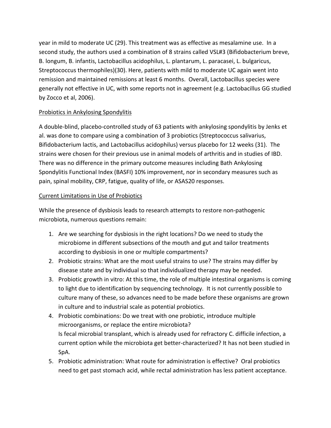year in mild to moderate UC (29). This treatment was as effective as mesalamine use. In a second study, the authors used a combination of 8 strains called VSL#3 (Bifidobacterium breve, B. longum, B. infantis, Lactobacillus acidophilus, L. plantarum, L. paracasei, L. bulgaricus, Streptococcus thermophiles)(30). Here, patients with mild to moderate UC again went into remission and maintained remissions at least 6 months. Overall, Lactobacillus species were generally not effective in UC, with some reports not in agreement (e.g. Lactobacillus GG studied by Zocco et al, 2006).

# Probiotics in Ankylosing Spondylitis

A double-blind, placebo-controlled study of 63 patients with ankylosing spondylitis by Jenks et al. was done to compare using a combination of 3 probiotics (Streptococcus salivarius, Bifidobacterium lactis, and Lactobacillus acidophilus) versus placebo for 12 weeks (31). The strains were chosen for their previous use in animal models of arthritis and in studies of IBD. There was no difference in the primary outcome measures including Bath Ankylosing Spondylitis Functional Index (BASFI) 10% improvement, nor in secondary measures such as pain, spinal mobility, CRP, fatigue, quality of life, or ASAS20 responses.

# Current Limitations in Use of Probiotics

While the presence of dysbiosis leads to research attempts to restore non-pathogenic microbiota, numerous questions remain:

- 1. Are we searching for dysbiosis in the right locations? Do we need to study the microbiome in different subsections of the mouth and gut and tailor treatments according to dysbiosis in one or multiple compartments?
- 2. Probiotic strains: What are the most useful strains to use? The strains may differ by disease state and by individual so that individualized therapy may be needed.
- 3. Probiotic growth in vitro: At this time, the role of multiple intestinal organisms is coming to light due to identification by sequencing technology. It is not currently possible to culture many of these, so advances need to be made before these organisms are grown in culture and to industrial scale as potential probiotics.
- 4. Probiotic combinations: Do we treat with one probiotic, introduce multiple microorganisms, or replace the entire microbiota? Is fecal microbial transplant, which is already used for refractory C. difficile infection, a current option while the microbiota get better-characterized? It has not been studied in SpA.
- 5. Probiotic administration: What route for administration is effective? Oral probiotics need to get past stomach acid, while rectal administration has less patient acceptance.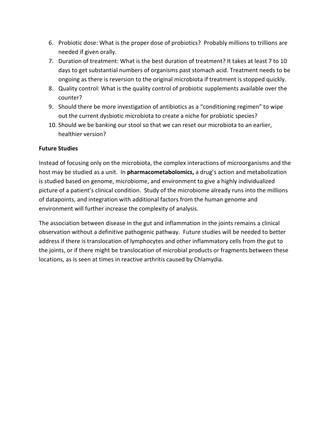- 6. Probiotic dose: What is the proper dose of probiotics? Probably millions to trillions are needed if given orally.
- 7. Duration of treatment: What is the best duration of treatment? It takes at least 7 to 10 days to get substantial numbers of organisms past stomach acid. Treatment needs to be ongoing as there is reversion to the original microbiota if treatment is stopped quickly.
- 8. Quality control: What is the quality control of probiotic supplements available over the counter?
- 9. Should there be more investigation of antibiotics as a "conditioning regimen" to wipe out the current dysbiotic microbiota to create a niche for probiotic species?
- 10. Should we be banking our stool so that we can reset our microbiota to an earlier, healthier version?

# **Future Studies**

Instead of focusing only on the microbiota, the complex interactions of microorganisms and the host may be studied as a unit. In **pharmacometabolomics,** a drug's action and metabolization is studied based on genome, microbiome, and environment to give a highly individualized picture of a patient's clinical condition. Study of the microbiome already runs into the millions of datapoints, and integration with additional factors from the human genome and environment will further increase the complexity of analysis.

The association between disease in the gut and inflammation in the joints remains a clinical observation without a definitive pathogenic pathway. Future studies will be needed to better address if there is translocation of lymphocytes and other inflammatory cells from the gut to the joints, or if there might be translocation of microbial products or fragments between these locations, as is seen at times in reactive arthritis caused by Chlamydia.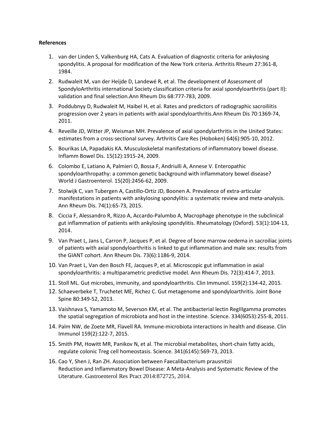#### **References**

- 1. [van der Linden S,](http://www.ncbi.nlm.nih.gov/pubmed/?term=van%20der%20Linden%20S%5BAuthor%5D&cauthor=true&cauthor_uid=6231933) [Valkenburg HA,](http://www.ncbi.nlm.nih.gov/pubmed/?term=Valkenburg%20HA%5BAuthor%5D&cauthor=true&cauthor_uid=6231933) [Cats A.](http://www.ncbi.nlm.nih.gov/pubmed/?term=Cats%20A%5BAuthor%5D&cauthor=true&cauthor_uid=6231933) Evaluation of diagnostic criteria for ankylosing spondylitis. A proposal for modification of the New York criteria. Arthritis Rheum 27:361-8, 1984.
- 2. Rudwaleit M, van der Heijde D, Landewé R, et al. [The development of Assessment of](http://www.ncbi.nlm.nih.gov/pubmed/19297344)  [SpondyloArthritis international Society classification criteria for axial spondyloarthritis \(part II\):](http://www.ncbi.nlm.nih.gov/pubmed/19297344)  [validation and final selection.A](http://www.ncbi.nlm.nih.gov/pubmed/19297344)nn Rheum Dis 68:777-783, 2009.
- 3. Poddubnyy D, Rudwaleit M, Haibel H, et al[. Rates and predictors of radiographic sacroiliitis](http://www.ncbi.nlm.nih.gov/pubmed/21622969)  [progression over 2 years in patients with axial spondyloarthritis.A](http://www.ncbi.nlm.nih.gov/pubmed/21622969)nn Rheum Dis 70:1369-74, 2011.
- 4. Reveille JD, Witter JP, Weisman MH. [Prevalence of axial spondylarthritis in the United States:](http://www.ncbi.nlm.nih.gov/pubmed/22275150)  [estimates from a cross-sectional survey.](http://www.ncbi.nlm.nih.gov/pubmed/22275150) Arthritis Care Res (Hoboken) 64(6):905-10, 2012.
- 5. Bourikas LA, Papadakis KA. [Musculoskeletal manifestations of inflammatory bowel disease.](http://www.ncbi.nlm.nih.gov/pubmed/19408334) Inflamm Bowel Dis. 15(12):1915-24, 2009.
- 6. Colombo E, Latiano A, Palmieri O, Bossa F, Andriulli A, Annese V[. Enteropathic](http://www.ncbi.nlm.nih.gov/pubmed/19468994)  [spondyloarthropathy: a common genetic background with inflammatory bowel disease?](http://www.ncbi.nlm.nih.gov/pubmed/19468994) World J Gastroenterol. 15(20):2456-62, 2009.
- 7. [Stolwijk C,](http://www.ncbi.nlm.nih.gov/pubmed/?term=Stolwijk%20C%5BAuthor%5D&cauthor=true&cauthor_uid=23999006) [van Tubergen A,](http://www.ncbi.nlm.nih.gov/pubmed/?term=van%20Tubergen%20A%5BAuthor%5D&cauthor=true&cauthor_uid=23999006) [Castillo-Ortiz JD,](http://www.ncbi.nlm.nih.gov/pubmed/?term=Castillo-Ortiz%20JD%5BAuthor%5D&cauthor=true&cauthor_uid=23999006) [Boonen A.](http://www.ncbi.nlm.nih.gov/pubmed/?term=Boonen%20A%5BAuthor%5D&cauthor=true&cauthor_uid=23999006) Prevalence of extra-articular manifestations in patients with ankylosing spondylitis: a systematic review and meta-analysis. [Ann Rheum Dis.](http://www.ncbi.nlm.nih.gov/pubmed/?term=Stolwijk+C.+Ann+Rheum+Dis+74%3A+65-73%2C+2015) 74(1):65-73, 2015.
- 8. [Ciccia F,](http://www.ncbi.nlm.nih.gov/pubmed/?term=Ciccia%20F%5BAuthor%5D&cauthor=true&cauthor_uid=24080254) [Alessandro R,](http://www.ncbi.nlm.nih.gov/pubmed/?term=Alessandro%20R%5BAuthor%5D&cauthor=true&cauthor_uid=24080254) [Rizzo A,](http://www.ncbi.nlm.nih.gov/pubmed/?term=Rizzo%20A%5BAuthor%5D&cauthor=true&cauthor_uid=24080254) [Accardo-Palumbo A,](http://www.ncbi.nlm.nih.gov/pubmed/?term=Accardo-Palumbo%20A%5BAuthor%5D&cauthor=true&cauthor_uid=24080254) Macrophage phenotype in the subclinical gut inflammation of patients with ankylosing spondylitis. [Rheumatology](http://www.ncbi.nlm.nih.gov/pubmed/?term=Ciccia+F.+Rheumatology+53%3A104-113%2C+2014.) (Oxford). 53(1):104-13, 2014.
- 9. [Van Praet L,](http://www.ncbi.nlm.nih.gov/pubmed/?term=Van%20Praet%20L%5BAuthor%5D&cauthor=true&cauthor_uid=24276368) [Jans L,](http://www.ncbi.nlm.nih.gov/pubmed/?term=Jans%20L%5BAuthor%5D&cauthor=true&cauthor_uid=24276368) [Carron P,](http://www.ncbi.nlm.nih.gov/pubmed/?term=Carron%20P%5BAuthor%5D&cauthor=true&cauthor_uid=24276368) [Jacques P,](http://www.ncbi.nlm.nih.gov/pubmed/?term=Jacques%20P%5BAuthor%5D&cauthor=true&cauthor_uid=24276368) et al. Degree of bone marrow oedema in sacroiliac joints of patients with axial spondyloarthritis is linked to gut inflammation and male sex: results from the GIANT cohort. [Ann Rheum Dis.](http://www.ncbi.nlm.nih.gov/pubmed/24276368) 73(6):1186-9, 2014.
- 10. [Van Praet L,](http://www.ncbi.nlm.nih.gov/pubmed/?term=Van%20Praet%20L%5BAuthor%5D&cauthor=true&cauthor_uid=23139267) [Van den Bosch FE,](http://www.ncbi.nlm.nih.gov/pubmed/?term=Van%20den%20Bosch%20FE%5BAuthor%5D&cauthor=true&cauthor_uid=23139267) [Jacques P,](http://www.ncbi.nlm.nih.gov/pubmed/?term=Jacques%20P%5BAuthor%5D&cauthor=true&cauthor_uid=23139267) et al. Microscopic gut inflammation in axial spondyloarthritis: a multiparametric predictive model. [Ann Rheum Dis.](http://www.ncbi.nlm.nih.gov/pubmed/?term=Van+Praet+L.+Ann+Rheum+Dis+72%3A414-417%2C+2013) 72(3):414-7, 2013.
- 11. Stoll ML[. Gut microbes, immunity, and spondyloarthritis.](http://www.ncbi.nlm.nih.gov/pubmed/25967460) Clin Immunol. 159(2):134-42, 2015.
- 12. Schaeverbeke T, Truchetet ME, Richez C. Gut metagenome and spondyloarthritis. Joint Bone Spine 80:349-52, 2013.
- 13. [Vaishnava S,](http://www.ncbi.nlm.nih.gov/pubmed/?term=Vaishnava%20S%5BAuthor%5D&cauthor=true&cauthor_uid=21998396) [Yamamoto M,](http://www.ncbi.nlm.nih.gov/pubmed/?term=Yamamoto%20M%5BAuthor%5D&cauthor=true&cauthor_uid=21998396) [Severson KM,](http://www.ncbi.nlm.nih.gov/pubmed/?term=Severson%20KM%5BAuthor%5D&cauthor=true&cauthor_uid=21998396) et al. The antibacterial lectin RegIIIgamma promotes the spatial segregation of microbiota and host in the intestine. [Science.](http://www.ncbi.nlm.nih.gov/pubmed/?term=Vaishnava+S.+Science+334%3A255-8%2C+2011.) 334(6053):255-8, 2011.
- 14. Palm NW, de Zoete MR, Flavell RA. Immune-microbiota interactions in health and disease. Clin Immunol 159(2):122-7, 2015.
- 15. [Smith PM,](http://www.ncbi.nlm.nih.gov/pubmed/?term=Smith%20PM%5BAuthor%5D&cauthor=true&cauthor_uid=23828891) [Howitt MR,](http://www.ncbi.nlm.nih.gov/pubmed/?term=Howitt%20MR%5BAuthor%5D&cauthor=true&cauthor_uid=23828891) [Panikov N,](http://www.ncbi.nlm.nih.gov/pubmed/?term=Panikov%20N%5BAuthor%5D&cauthor=true&cauthor_uid=23828891) et al. The microbial metabolites, short-chain fatty acids, regulate colonic Treg cell homeostasis. [Science.](http://www.ncbi.nlm.nih.gov/pubmed/?term=Smith+PM.+Science+341%3A569-73%2C+2013) 341(6145):569-73, 2013.
- 16. Cao Y, Shen J, Ran ZH. Association between Faecalibacterium prausnitzii Reduction and Inflammatory Bowel Disease: A Meta-Analysis and Systematic Review of the Literature. Gastroenterol Res Pract 2014:872725, 2014.